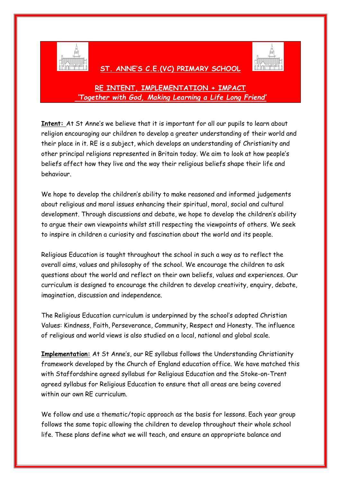

## **ST. ANNE'S C.E.(VC) PRIMARY SCHOOL**



## **RE INTENT, IMPLEMENTATION + IMPACT** *'Together with God, Making Learning a Life Long Friend'*

**Intent:** At St Anne's we believe that it is important for all our pupils to learn about religion encouraging our children to develop a greater understanding of their world and their place in it. RE is a subject, which develops an understanding of Christianity and other principal religions represented in Britain today. We aim to look at how people's beliefs affect how they live and the way their religious beliefs shape their life and behaviour.

We hope to develop the children's ability to make reasoned and informed judgements about religious and moral issues enhancing their spiritual, moral, social and cultural development. Through discussions and debate, we hope to develop the children's ability to argue their own viewpoints whilst still respecting the viewpoints of others. We seek to inspire in children a curiosity and fascination about the world and its people.

Religious Education is taught throughout the school in such a way as to reflect the overall aims, values and philosophy of the school. We encourage the children to ask questions about the world and reflect on their own beliefs, values and experiences. Our curriculum is designed to encourage the children to develop creativity, enquiry, debate, imagination, discussion and independence.

The Religious Education curriculum is underpinned by the school's adopted Christian Values: Kindness, Faith, Perseverance, Community, Respect and Honesty. The influence of religious and world views is also studied on a local, national and global scale.

**Implementation:** At St Anne's, our RE syllabus follows the Understanding Christianity framework developed by the Church of England education office. We have matched this with Staffordshire agreed syllabus for Religious Education and the Stoke-on-Trent agreed syllabus for Religious Education to ensure that all areas are being covered within our own RE curriculum.

We follow and use a thematic/topic approach as the basis for lessons. Each year group follows the same topic allowing the children to develop throughout their whole school life. These plans define what we will teach, and ensure an appropriate balance and